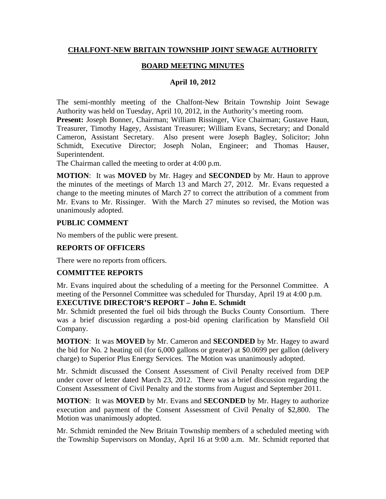## **CHALFONT-NEW BRITAIN TOWNSHIP JOINT SEWAGE AUTHORITY**

## **BOARD MEETING MINUTES**

### **April 10, 2012**

The semi-monthly meeting of the Chalfont-New Britain Township Joint Sewage Authority was held on Tuesday, April 10, 2012, in the Authority's meeting room.

**Present:** Joseph Bonner, Chairman; William Rissinger, Vice Chairman; Gustave Haun, Treasurer, Timothy Hagey, Assistant Treasurer; William Evans, Secretary; and Donald Cameron, Assistant Secretary. Also present were Joseph Bagley, Solicitor; John Schmidt, Executive Director; Joseph Nolan, Engineer; and Thomas Hauser, Superintendent.

The Chairman called the meeting to order at 4:00 p.m.

**MOTION**: It was **MOVED** by Mr. Hagey and **SECONDED** by Mr. Haun to approve the minutes of the meetings of March 13 and March 27, 2012. Mr. Evans requested a change to the meeting minutes of March 27 to correct the attribution of a comment from Mr. Evans to Mr. Rissinger. With the March 27 minutes so revised, the Motion was unanimously adopted.

### **PUBLIC COMMENT**

No members of the public were present.

### **REPORTS OF OFFICERS**

There were no reports from officers.

### **COMMITTEE REPORTS**

Mr. Evans inquired about the scheduling of a meeting for the Personnel Committee. A meeting of the Personnel Committee was scheduled for Thursday, April 19 at 4:00 p.m.

# **EXECUTIVE DIRECTOR'S REPORT – John E. Schmidt**

Mr. Schmidt presented the fuel oil bids through the Bucks County Consortium. There was a brief discussion regarding a post-bid opening clarification by Mansfield Oil Company.

**MOTION**: It was **MOVED** by Mr. Cameron and **SECONDED** by Mr. Hagey to award the bid for No. 2 heating oil (for 6,000 gallons or greater) at \$0.0699 per gallon (delivery charge) to Superior Plus Energy Services. The Motion was unanimously adopted.

Mr. Schmidt discussed the Consent Assessment of Civil Penalty received from DEP under cover of letter dated March 23, 2012. There was a brief discussion regarding the Consent Assessment of Civil Penalty and the storms from August and September 2011.

**MOTION**: It was **MOVED** by Mr. Evans and **SECONDED** by Mr. Hagey to authorize execution and payment of the Consent Assessment of Civil Penalty of \$2,800. The Motion was unanimously adopted.

Mr. Schmidt reminded the New Britain Township members of a scheduled meeting with the Township Supervisors on Monday, April 16 at 9:00 a.m. Mr. Schmidt reported that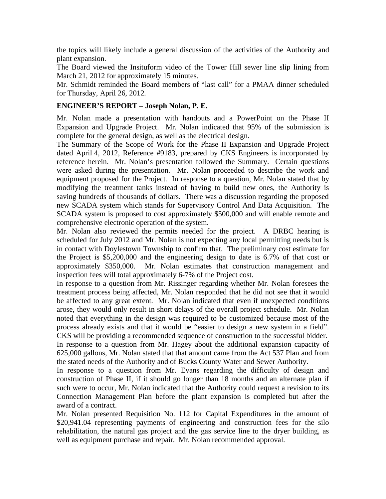the topics will likely include a general discussion of the activities of the Authority and plant expansion.

The Board viewed the Insituform video of the Tower Hill sewer line slip lining from March 21, 2012 for approximately 15 minutes.

Mr. Schmidt reminded the Board members of "last call" for a PMAA dinner scheduled for Thursday, April 26, 2012.

## **ENGINEER'S REPORT – Joseph Nolan, P. E.**

Mr. Nolan made a presentation with handouts and a PowerPoint on the Phase II Expansion and Upgrade Project. Mr. Nolan indicated that 95% of the submission is complete for the general design, as well as the electrical design.

The Summary of the Scope of Work for the Phase II Expansion and Upgrade Project dated April 4, 2012, Reference #9183, prepared by CKS Engineers is incorporated by reference herein. Mr. Nolan's presentation followed the Summary. Certain questions were asked during the presentation. Mr. Nolan proceeded to describe the work and equipment proposed for the Project. In response to a question, Mr. Nolan stated that by modifying the treatment tanks instead of having to build new ones, the Authority is saving hundreds of thousands of dollars. There was a discussion regarding the proposed new SCADA system which stands for Supervisory Control And Data Acquisition. The SCADA system is proposed to cost approximately \$500,000 and will enable remote and comprehensive electronic operation of the system.

Mr. Nolan also reviewed the permits needed for the project. A DRBC hearing is scheduled for July 2012 and Mr. Nolan is not expecting any local permitting needs but is in contact with Doylestown Township to confirm that. The preliminary cost estimate for the Project is \$5,200,000 and the engineering design to date is 6.7% of that cost or approximately \$350,000. Mr. Nolan estimates that construction management and inspection fees will total approximately 6-7% of the Project cost.

In response to a question from Mr. Rissinger regarding whether Mr. Nolan foresees the treatment process being affected, Mr. Nolan responded that he did not see that it would be affected to any great extent. Mr. Nolan indicated that even if unexpected conditions arose, they would only result in short delays of the overall project schedule. Mr. Nolan noted that everything in the design was required to be customized because most of the process already exists and that it would be "easier to design a new system in a field". CKS will be providing a recommended sequence of construction to the successful bidder.

In response to a question from Mr. Hagey about the additional expansion capacity of 625,000 gallons, Mr. Nolan stated that that amount came from the Act 537 Plan and from the stated needs of the Authority and of Bucks County Water and Sewer Authority.

In response to a question from Mr. Evans regarding the difficulty of design and construction of Phase II, if it should go longer than 18 months and an alternate plan if such were to occur, Mr. Nolan indicated that the Authority could request a revision to its Connection Management Plan before the plant expansion is completed but after the award of a contract.

Mr. Nolan presented Requisition No. 112 for Capital Expenditures in the amount of \$20,941.04 representing payments of engineering and construction fees for the silo rehabilitation, the natural gas project and the gas service line to the dryer building, as well as equipment purchase and repair. Mr. Nolan recommended approval.